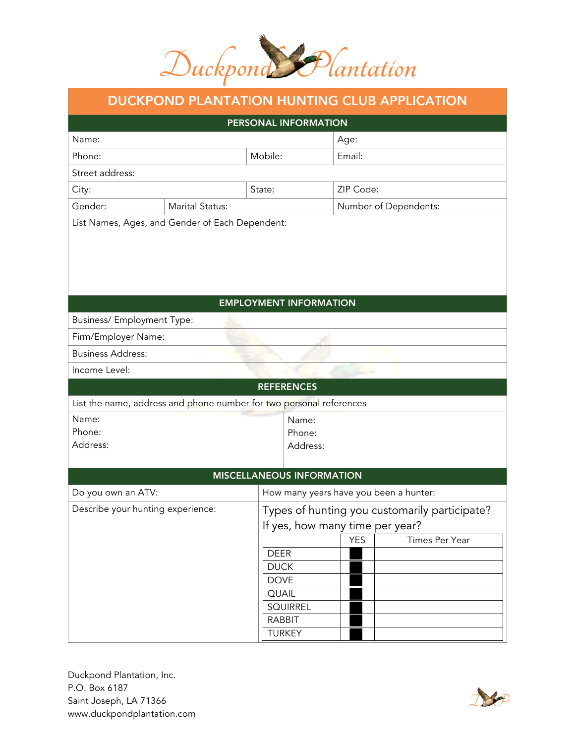

## DUCKPOND PLANTATION HUNTING CLUB APPLICATION

| PERSONAL INFORMATION                                                |  |                                  |                       |            |                                               |  |  |
|---------------------------------------------------------------------|--|----------------------------------|-----------------------|------------|-----------------------------------------------|--|--|
| Name:                                                               |  |                                  |                       | Age:       |                                               |  |  |
| Phone:                                                              |  | Mobile:                          |                       | Email:     |                                               |  |  |
| Street address:                                                     |  |                                  |                       |            |                                               |  |  |
| City:                                                               |  | State:                           |                       | ZIP Code:  |                                               |  |  |
| Gender:                                                             |  |                                  | Number of Dependents: |            |                                               |  |  |
| List Names, Ages, and Gender of Each Dependent:                     |  |                                  |                       |            |                                               |  |  |
|                                                                     |  |                                  |                       |            |                                               |  |  |
|                                                                     |  |                                  |                       |            |                                               |  |  |
| <b>EMPLOYMENT INFORMATION</b>                                       |  |                                  |                       |            |                                               |  |  |
| Business/ Employment Type:                                          |  |                                  |                       |            |                                               |  |  |
| Firm/Employer Name:                                                 |  |                                  |                       |            |                                               |  |  |
| <b>Business Address:</b>                                            |  |                                  |                       |            |                                               |  |  |
| Income Level:                                                       |  |                                  |                       |            |                                               |  |  |
|                                                                     |  | <b>REFERENCES</b>                |                       |            |                                               |  |  |
| List the name, address and phone number for two personal references |  |                                  |                       |            |                                               |  |  |
| Name:                                                               |  |                                  | Name:                 |            |                                               |  |  |
| Phone:<br>Address:                                                  |  | Phone:                           |                       |            |                                               |  |  |
|                                                                     |  |                                  | Address:              |            |                                               |  |  |
|                                                                     |  | <b>MISCELLANEOUS INFORMATION</b> |                       |            |                                               |  |  |
| Do you own an ATV:                                                  |  |                                  |                       |            | How many years have you been a hunter:        |  |  |
| Describe your hunting experience:                                   |  |                                  |                       |            | Types of hunting you customarily participate? |  |  |
|                                                                     |  |                                  |                       |            | If yes, how many time per year?               |  |  |
|                                                                     |  |                                  |                       | <b>YES</b> | Times Per Year                                |  |  |
|                                                                     |  | <b>DEER</b>                      |                       |            |                                               |  |  |
|                                                                     |  | <b>DUCK</b>                      |                       |            |                                               |  |  |
|                                                                     |  | <b>DOVE</b>                      |                       |            |                                               |  |  |
|                                                                     |  | <b>QUAIL</b><br><b>SQUIRREL</b>  |                       |            |                                               |  |  |
|                                                                     |  | <b>RABBIT</b>                    |                       |            |                                               |  |  |
|                                                                     |  | <b>TURKEY</b>                    |                       |            |                                               |  |  |